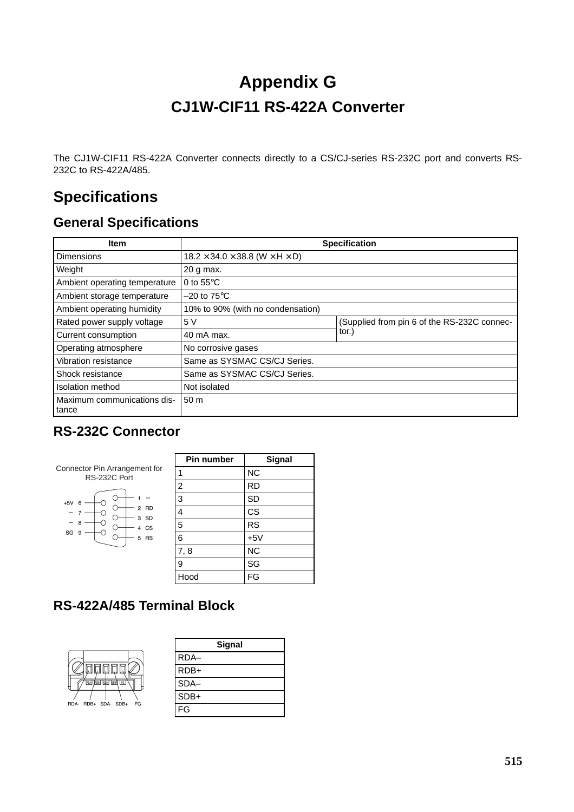# **Appendix G CJ1W-CIF11 RS-422A Converter**

The CJ1W-CIF11 RS-422A Converter connects directly to a CS/CJ-series RS-232C port and converts RS-232C to RS-422A/485.

# **Specifications**

## **General Specifications**

| Item                                 | <b>Specification</b>                                     |                                                     |  |
|--------------------------------------|----------------------------------------------------------|-----------------------------------------------------|--|
| <b>Dimensions</b>                    | $18.2 \times 34.0 \times 38.8$ (W $\times$ H $\times$ D) |                                                     |  |
| Weight                               | 20 g max.                                                |                                                     |  |
| Ambient operating temperature        | 0 to $55^{\circ}$ C                                      |                                                     |  |
| Ambient storage temperature          | $-20$ to 75 $\mathrm{^{\circ}C}$                         |                                                     |  |
| Ambient operating humidity           | 10% to 90% (with no condensation)                        |                                                     |  |
| Rated power supply voltage           | 5 V                                                      | (Supplied from pin 6 of the RS-232C connec-<br>tor. |  |
| Current consumption                  | 40 mA max.                                               |                                                     |  |
| Operating atmosphere                 | No corrosive gases                                       |                                                     |  |
| Vibration resistance                 | Same as SYSMAC CS/CJ Series.                             |                                                     |  |
| Shock resistance                     | Same as SYSMAC CS/CJ Series.                             |                                                     |  |
| Isolation method                     | Not isolated                                             |                                                     |  |
| Maximum communications dis-<br>tance | 50 <sub>m</sub>                                          |                                                     |  |

### **RS-232C Connector**

|                                               | <b>Pin number</b> | Signal    |
|-----------------------------------------------|-------------------|-----------|
| Connector Pin Arrangement for<br>RS-232C Port | 1                 | <b>NC</b> |
|                                               | 2                 | <b>RD</b> |
| $+5V$<br>6                                    | 3                 | SD        |
| 2 RD<br>3 SD                                  | 4                 | <b>CS</b> |
| 8<br>4 CS                                     | 5                 | <b>RS</b> |
| SG <sub>9</sub><br>5 RS                       | 6                 | $+5V$     |
|                                               | 7,8               | <b>NC</b> |
|                                               | 9                 | SG        |
|                                               | Hood              | FG        |
|                                               |                   |           |

### **RS-422A/485 Terminal Block**

|                              | 四四四       |  |  |  |
|------------------------------|-----------|--|--|--|
| <b>FDA</b><br>ηğ.            | FG<br>SDB |  |  |  |
|                              |           |  |  |  |
| RDB+ SDA- SDB+<br>FG<br>RDA- |           |  |  |  |

| Signal |  |
|--------|--|
| RDA-   |  |
| RDB+   |  |
| SDA-   |  |
| SDB+   |  |
| FG     |  |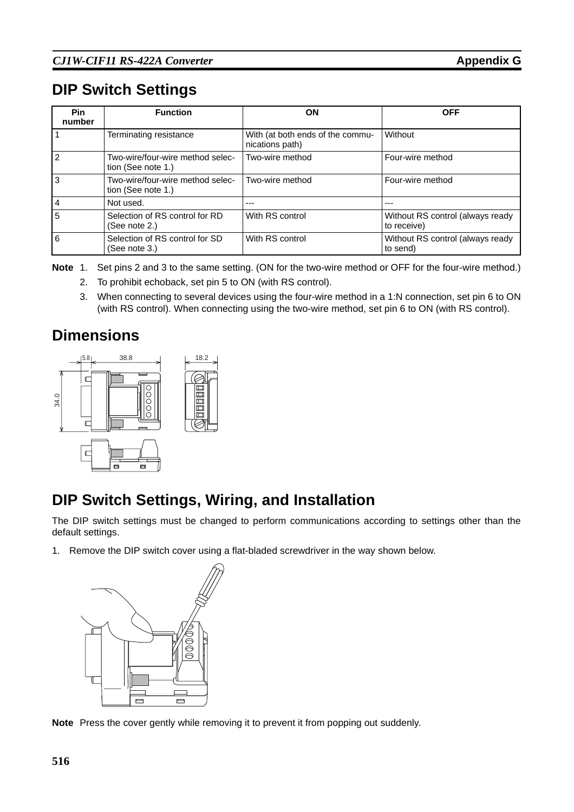# **DIP Switch Settings**

| <b>Pin</b><br>number | <b>Function</b>                                        | ΟN                                                  | <b>OFF</b>                                      |
|----------------------|--------------------------------------------------------|-----------------------------------------------------|-------------------------------------------------|
|                      | Terminating resistance                                 | With (at both ends of the commu-<br>nications path) | Without                                         |
|                      | Two-wire/four-wire method selec-<br>tion (See note 1.) | Two-wire method                                     | Four-wire method                                |
| 3                    | Two-wire/four-wire method selec-<br>tion (See note 1.) | Two-wire method                                     | Four-wire method                                |
| $\overline{4}$       | Not used.                                              |                                                     |                                                 |
| 5                    | Selection of RS control for RD<br>(See note 2.)        | With RS control                                     | Without RS control (always ready<br>to receive) |
| 6                    | Selection of RS control for SD<br>(See note 3.)        | With RS control                                     | Without RS control (always ready<br>to send)    |

**Note** 1. Set pins 2 and 3 to the same setting. (ON for the two-wire method or OFF for the four-wire method.)

- 2. To prohibit echoback, set pin 5 to ON (with RS control).
- 3. When connecting to several devices using the four-wire method in a 1:N connection, set pin 6 to ON (with RS control). When connecting using the two-wire method, set pin 6 to ON (with RS control).

## **Dimensions**



# **DIP Switch Settings, Wiring, and Installation**

The DIP switch settings must be changed to perform communications according to settings other than the default settings.

1. Remove the DIP switch cover using a flat-bladed screwdriver in the way shown below.



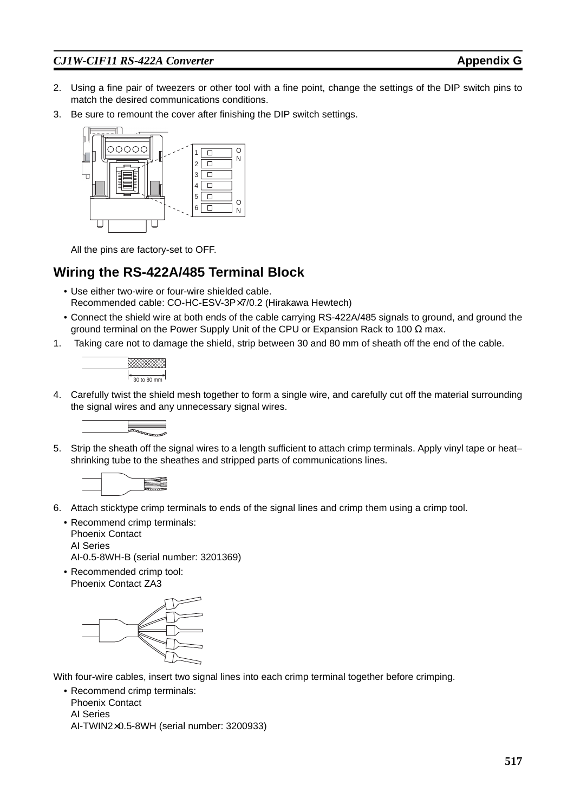- 2. Using a fine pair of tweezers or other tool with a fine point, change the settings of the DIP switch pins to match the desired communications conditions.
- 3. Be sure to remount the cover after finishing the DIP switch settings.



All the pins are factory-set to OFF.

#### **Wiring the RS-422A/485 Terminal Block**

- Use either two-wire or four-wire shielded cable. Recommended cable: CO-HC-ESV-3P×7/0.2 (Hirakawa Hewtech)
- Connect the shield wire at both ends of the cable carrying RS-422A/485 signals to ground, and ground the ground terminal on the Power Supply Unit of the CPU or Expansion Rack to 100  $\Omega$  max.
- 1. Taking care not to damage the shield, strip between 30 and 80 mm of sheath off the end of the cable.



4. Carefully twist the shield mesh together to form a single wire, and carefully cut off the material surrounding the signal wires and any unnecessary signal wires.



5. Strip the sheath off the signal wires to a length sufficient to attach crimp terminals. Apply vinyl tape or heat– shrinking tube to the sheathes and stripped parts of communications lines.



- 6. Attach sticktype crimp terminals to ends of the signal lines and crimp them using a crimp tool.
	- Recommend crimp terminals: Phoenix Contact AI Series AI-0.5-8WH-B (serial number: 3201369)
	- Recommended crimp tool: Phoenix Contact ZA3



With four-wire cables, insert two signal lines into each crimp terminal together before crimping.

• Recommend crimp terminals: Phoenix Contact AI Series AI-TWIN2×0.5-8WH (serial number: 3200933)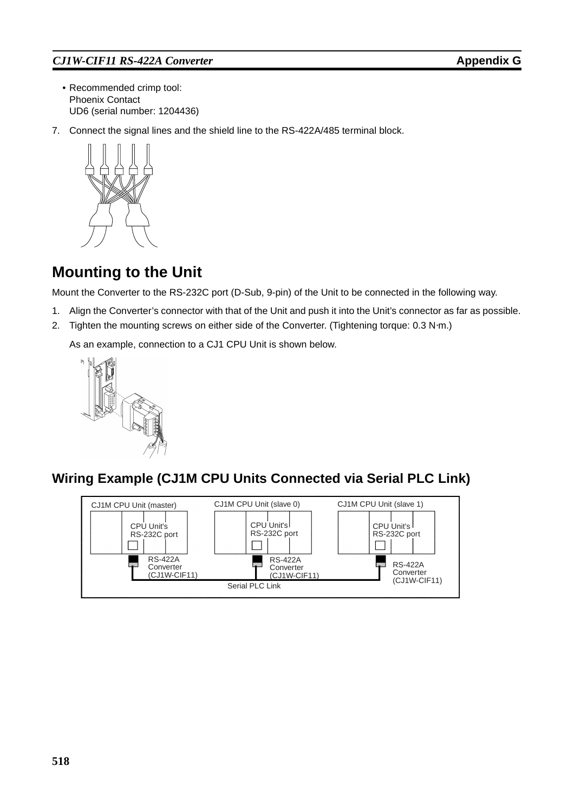- Recommended crimp tool: Phoenix Contact UD6 (serial number: 1204436)
- 7. Connect the signal lines and the shield line to the RS-422A/485 terminal block.



# **Mounting to the Unit**

Mount the Converter to the RS-232C port (D-Sub, 9-pin) of the Unit to be connected in the following way.

- 1. Align the Converter's connector with that of the Unit and push it into the Unit's connector as far as possible.
- 2. Tighten the mounting screws on either side of the Converter. (Tightening torque: 0.3 N⋅m.)

As an example, connection to a CJ1 CPU Unit is shown below.



### **Wiring Example (CJ1M CPU Units Connected via Serial PLC Link)**